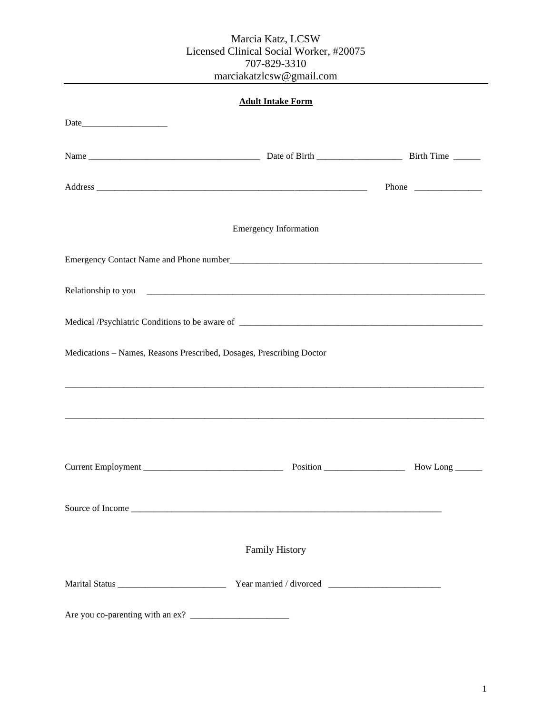## Marcia Katz, LCSW Licensed Clinical Social Worker, #20075 707-829-3310 marciakatzlcsw@gmail.com

| <b>Adult Intake Form</b>                                             |                                                                                                                                                                                                                                        |  |  |  |
|----------------------------------------------------------------------|----------------------------------------------------------------------------------------------------------------------------------------------------------------------------------------------------------------------------------------|--|--|--|
|                                                                      |                                                                                                                                                                                                                                        |  |  |  |
|                                                                      |                                                                                                                                                                                                                                        |  |  |  |
|                                                                      |                                                                                                                                                                                                                                        |  |  |  |
|                                                                      | <b>Emergency Information</b>                                                                                                                                                                                                           |  |  |  |
|                                                                      | Emergency Contact Name and Phone number<br><u>Letter and the contract of the set of the set of the set of the set of the set of the set of the set of the set of the set of the set of the set of the set of the set of the set of</u> |  |  |  |
|                                                                      |                                                                                                                                                                                                                                        |  |  |  |
|                                                                      |                                                                                                                                                                                                                                        |  |  |  |
| Medications - Names, Reasons Prescribed, Dosages, Prescribing Doctor |                                                                                                                                                                                                                                        |  |  |  |
|                                                                      |                                                                                                                                                                                                                                        |  |  |  |
|                                                                      |                                                                                                                                                                                                                                        |  |  |  |
|                                                                      |                                                                                                                                                                                                                                        |  |  |  |
|                                                                      | <b>Family History</b>                                                                                                                                                                                                                  |  |  |  |
|                                                                      |                                                                                                                                                                                                                                        |  |  |  |
|                                                                      |                                                                                                                                                                                                                                        |  |  |  |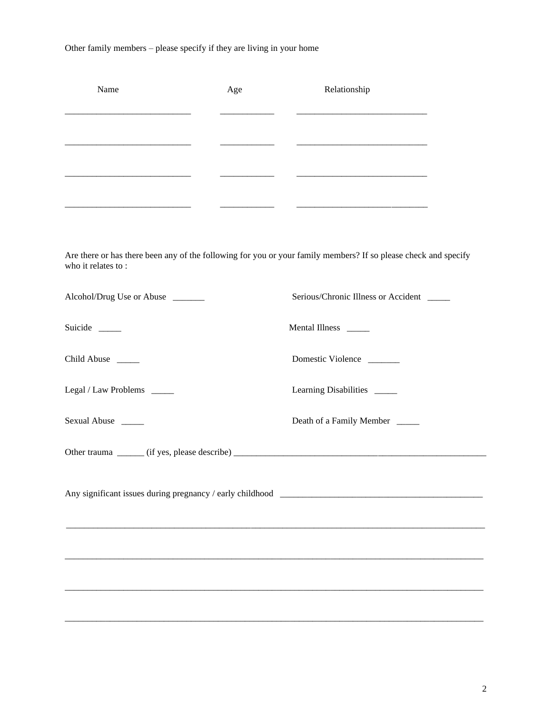Other family members – please specify if they are living in your home

| Name                                          | Age | Relationship                                                                                                    |
|-----------------------------------------------|-----|-----------------------------------------------------------------------------------------------------------------|
|                                               |     |                                                                                                                 |
|                                               |     |                                                                                                                 |
| <u> 1989 - Andrea Andrew Maria (h. 1989).</u> |     |                                                                                                                 |
|                                               |     |                                                                                                                 |
|                                               |     |                                                                                                                 |
|                                               |     |                                                                                                                 |
|                                               |     |                                                                                                                 |
| who it relates to:                            |     | Are there or has there been any of the following for you or your family members? If so please check and specify |
| Alcohol/Drug Use or Abuse                     |     | Serious/Chronic Illness or Accident                                                                             |
| Suicide                                       |     | Mental Illness ______                                                                                           |
| Child Abuse                                   |     | Domestic Violence                                                                                               |
| Legal / Law Problems _____                    |     | Learning Disabilities _____                                                                                     |
| Sexual Abuse                                  |     | Death of a Family Member ____                                                                                   |
|                                               |     |                                                                                                                 |
|                                               |     |                                                                                                                 |
|                                               |     |                                                                                                                 |
|                                               |     |                                                                                                                 |
|                                               |     |                                                                                                                 |
|                                               |     |                                                                                                                 |
|                                               |     |                                                                                                                 |